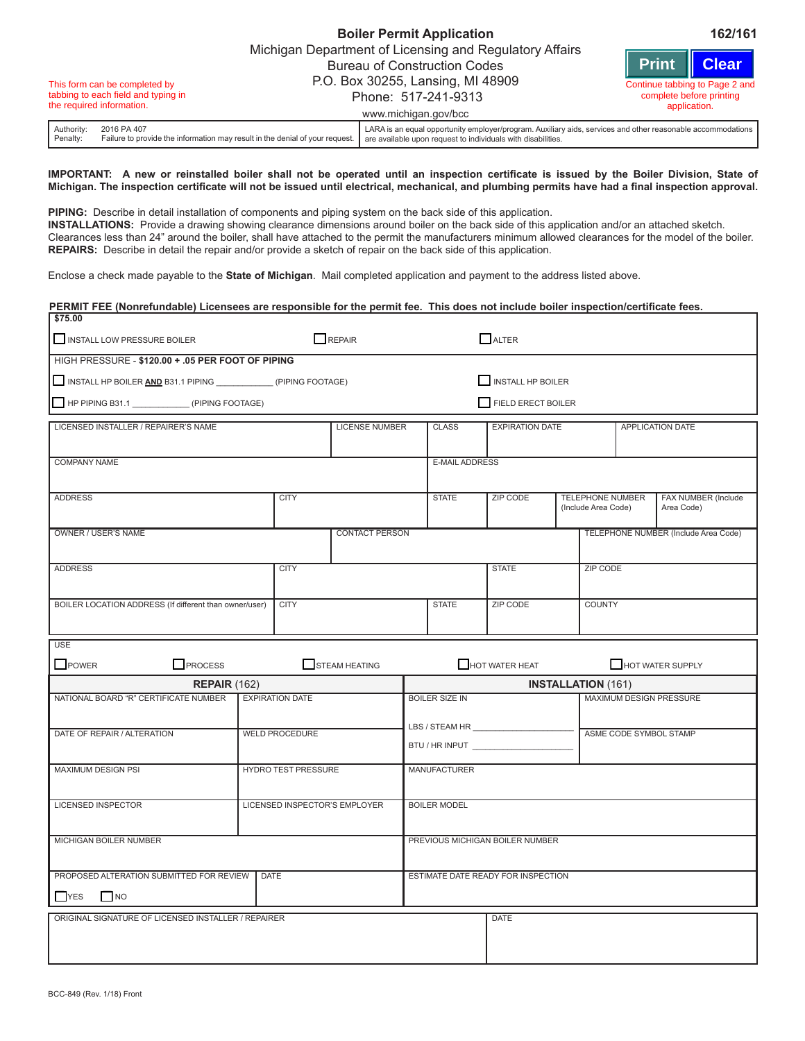|                                                                                                   |                        |             |                                                                              | Michigan Department of Licensing and Regulatory Affairs<br><b>Bureau of Construction Codes</b>                                                                              |  |                                                                                           |  |  |  |  |  |  |
|---------------------------------------------------------------------------------------------------|------------------------|-------------|------------------------------------------------------------------------------|-----------------------------------------------------------------------------------------------------------------------------------------------------------------------------|--|-------------------------------------------------------------------------------------------|--|--|--|--|--|--|
| This form can be completed by<br>tabbing to each field and typing in<br>the required information. |                        |             |                                                                              | P.O. Box 30255, Lansing, MI 48909<br>Phone: 517-241-9313<br>www.michigan.gov/bcc                                                                                            |  | Print Clear<br>Continue tabbing to Page 2 and<br>complete before printing<br>application. |  |  |  |  |  |  |
|                                                                                                   | Authority:<br>Penalty: | 2016 PA 407 | Failure to provide the information may result in the denial of your request. | LARA is an equal opportunity employer/program. Auxiliary aids, services and other reasonable accommodations<br>are available upon request to individuals with disabilities. |  |                                                                                           |  |  |  |  |  |  |

**Boiler Permit Application 162/161**

## **IMPORTANT: A new or reinstalled boiler shall not be operated until an inspection certificate is issued by the Boiler Division, State of Michigan. The inspection certificate will not be issued until electrical, mechanical, and plumbing permits have had a final inspection approval.**

**PIPING:** Describe in detail installation of components and piping system on the back side of this application. **INSTALLATIONS:** Provide a drawing showing clearance dimensions around boiler on the back side of this application and/or an attached sketch. Clearances less than 24" around the boiler, shall have attached to the permit the manufacturers minimum allowed clearances for the model of the boiler. **REPAIRS:** Describe in detail the repair and/or provide a sketch of repair on the back side of this application.

Enclose a check made payable to the **State of Michigan**. Mail completed application and payment to the address listed above.

| PERMIT FEE (Nonrefundable) Licensees are responsible for the permit fee. This does not include boiler inspection/certificate fees. |                               |                       |                           |                       |                                          |                           |                                      |                                   |  |  |  |  |  |  |  |  |
|------------------------------------------------------------------------------------------------------------------------------------|-------------------------------|-----------------------|---------------------------|-----------------------|------------------------------------------|---------------------------|--------------------------------------|-----------------------------------|--|--|--|--|--|--|--|--|
| \$75.00<br>INSTALL LOW PRESSURE BOILER                                                                                             |                               | REPAIR                |                           |                       | $\Box$ ALTER                             |                           |                                      |                                   |  |  |  |  |  |  |  |  |
| HIGH PRESSURE - \$120.00 + .05 PER FOOT OF PIPING                                                                                  |                               |                       |                           |                       |                                          |                           |                                      |                                   |  |  |  |  |  |  |  |  |
| INSTALL HP BOILER AND B31.1 PIPING ________________ (PIPING FOOTAGE)                                                               |                               |                       |                           | INSTALL HP BOILER     |                                          |                           |                                      |                                   |  |  |  |  |  |  |  |  |
| HP PIPING B31.1 ______________(PIPING FOOTAGE)                                                                                     |                               |                       | <b>FIELD ERECT BOILER</b> |                       |                                          |                           |                                      |                                   |  |  |  |  |  |  |  |  |
| LICENSED INSTALLER / REPAIRER'S NAME                                                                                               |                               | <b>LICENSE NUMBER</b> |                           | <b>CLASS</b>          | <b>EXPIRATION DATE</b>                   |                           |                                      | <b>APPLICATION DATE</b>           |  |  |  |  |  |  |  |  |
|                                                                                                                                    |                               |                       |                           |                       |                                          |                           |                                      |                                   |  |  |  |  |  |  |  |  |
| <b>COMPANY NAME</b>                                                                                                                |                               |                       |                           | E-MAIL ADDRESS        |                                          |                           |                                      |                                   |  |  |  |  |  |  |  |  |
| <b>ADDRESS</b>                                                                                                                     | <b>CITY</b>                   |                       |                           | <b>STATE</b>          | ZIP CODE                                 | (Include Area Code)       | <b>TELEPHONE NUMBER</b>              | FAX NUMBER (Include<br>Area Code) |  |  |  |  |  |  |  |  |
| OWNER / USER'S NAME                                                                                                                |                               | <b>CONTACT PERSON</b> |                           |                       |                                          |                           | TELEPHONE NUMBER (Include Area Code) |                                   |  |  |  |  |  |  |  |  |
| <b>ADDRESS</b>                                                                                                                     | <b>CITY</b>                   |                       |                           |                       | <b>STATE</b>                             |                           | <b>ZIP CODE</b>                      |                                   |  |  |  |  |  |  |  |  |
| BOILER LOCATION ADDRESS (If different than owner/user)                                                                             | <b>CITY</b>                   |                       |                           | <b>STATE</b>          | <b>ZIP CODE</b>                          | <b>COUNTY</b>             |                                      |                                   |  |  |  |  |  |  |  |  |
| <b>USE</b>                                                                                                                         |                               |                       |                           |                       |                                          |                           |                                      |                                   |  |  |  |  |  |  |  |  |
| $\Box$ POWER<br>$\Box$ PROCESS                                                                                                     |                               | STEAM HEATING         |                           |                       | $\Box$ HOT WATER HEAT                    |                           |                                      | HOT WATER SUPPLY                  |  |  |  |  |  |  |  |  |
| REPAIR(162)                                                                                                                        |                               |                       |                           |                       |                                          | <b>INSTALLATION (161)</b> |                                      |                                   |  |  |  |  |  |  |  |  |
| NATIONAL BOARD "R" CERTIFICATE NUMBER                                                                                              | <b>EXPIRATION DATE</b>        |                       |                           | <b>BOILER SIZE IN</b> |                                          |                           |                                      | <b>MAXIMUM DESIGN PRESSURE</b>    |  |  |  |  |  |  |  |  |
| DATE OF REPAIR / ALTERATION                                                                                                        | <b>WELD PROCEDURE</b>         |                       |                           |                       | LBS / STEAM HR _________________________ |                           | ASME CODE SYMBOL STAMP               |                                   |  |  |  |  |  |  |  |  |
|                                                                                                                                    |                               |                       |                           |                       |                                          |                           |                                      |                                   |  |  |  |  |  |  |  |  |
| <b>MAXIMUM DESIGN PSI</b>                                                                                                          | <b>HYDRO TEST PRESSURE</b>    |                       |                           | <b>MANUFACTURER</b>   |                                          |                           |                                      |                                   |  |  |  |  |  |  |  |  |
| <b>LICENSED INSPECTOR</b>                                                                                                          | LICENSED INSPECTOR'S EMPLOYER |                       |                           | <b>BOILER MODEL</b>   |                                          |                           |                                      |                                   |  |  |  |  |  |  |  |  |
| MICHIGAN BOILER NUMBER                                                                                                             |                               |                       |                           |                       | PREVIOUS MICHIGAN BOILER NUMBER          |                           |                                      |                                   |  |  |  |  |  |  |  |  |
|                                                                                                                                    |                               |                       |                           |                       |                                          |                           |                                      |                                   |  |  |  |  |  |  |  |  |
| <b>PROPOSED ALTERATION SUBMITTED FOR REVIEW   DATE</b><br>$YES$ NO                                                                 |                               |                       |                           |                       | ESTIMATE DATE READY FOR INSPECTION       |                           |                                      |                                   |  |  |  |  |  |  |  |  |
| ORIGINAL SIGNATURE OF LICENSED INSTALLER / REPAIRER                                                                                |                               |                       |                           |                       | <b>DATE</b>                              |                           |                                      |                                   |  |  |  |  |  |  |  |  |
|                                                                                                                                    |                               |                       |                           |                       |                                          |                           |                                      |                                   |  |  |  |  |  |  |  |  |